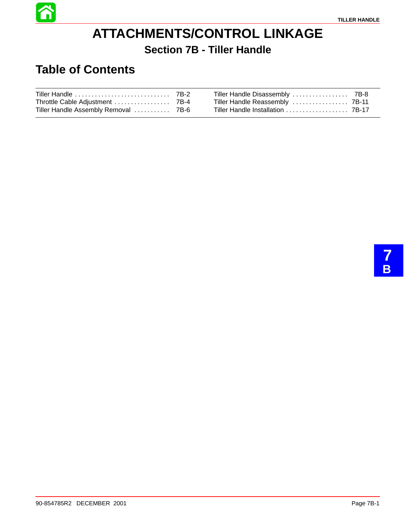

# **ATTACHMENTS/CONTROL LINKAGE Section 7B - Tiller Handle**

# **Table of Contents**

| Tiller Handle Assembly Removal  7B-6 | Tiller Handle Installation  7B-17 |  |
|--------------------------------------|-----------------------------------|--|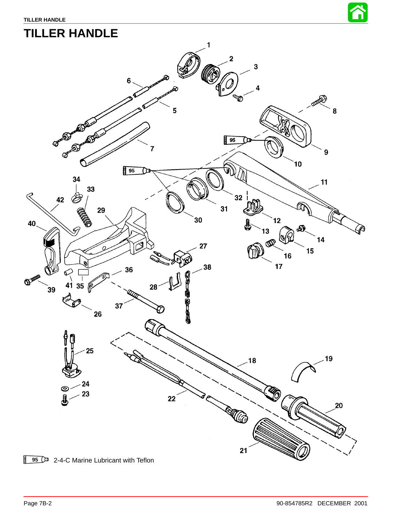

# **TILLER HANDLE**

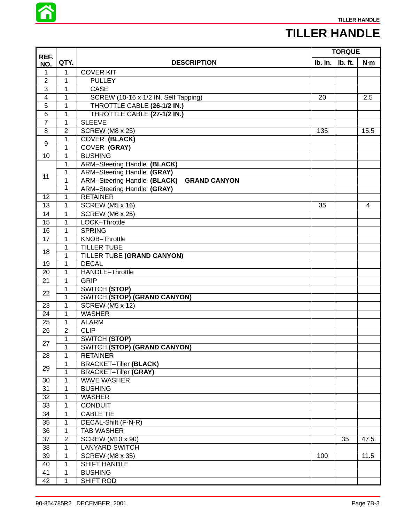

### **TILLER HANDLE**

|                 |                |                                          |         | <b>TORQUE</b> |      |
|-----------------|----------------|------------------------------------------|---------|---------------|------|
| REF.<br>NO.     | QTY.           | <b>DESCRIPTION</b>                       | Ib. in. | Ib. ft.       | N·m  |
| 1               | $\mathbf 1$    | <b>COVER KIT</b>                         |         |               |      |
| $\overline{2}$  | $\mathbf{1}$   | <b>PULLEY</b>                            |         |               |      |
| $\overline{3}$  | $\mathbf{1}$   | <b>CASE</b>                              |         |               |      |
| $\overline{4}$  | $\mathbf{1}$   | SCREW (10-16 x 1/2 IN. Self Tapping)     | 20      |               | 2.5  |
| $\overline{5}$  | $\mathbf{1}$   | THROTTLE CABLE (26-1/2 IN.)              |         |               |      |
| 6               | $\mathbf{1}$   | THROTTLE CABLE (27-1/2 IN.)              |         |               |      |
| $\overline{7}$  | $\mathbf{1}$   | <b>SLEEVE</b>                            |         |               |      |
| $\overline{8}$  | $\overline{2}$ | SCREW (M8 x 25)                          | 135     |               | 15.5 |
|                 | 1              | <b>COVER (BLACK)</b>                     |         |               |      |
| 9               | $\mathbf{1}$   | <b>COVER (GRAY)</b>                      |         |               |      |
| $\overline{10}$ | $\mathbf{1}$   | <b>BUSHING</b>                           |         |               |      |
|                 | 1              | <b>ARM-Steering Handle (BLACK)</b>       |         |               |      |
|                 | $\mathbf 1$    | ARM-Steering Handle (GRAY)               |         |               |      |
| 11              | $\mathbf{1}$   | ARM-Steering Handle (BLACK) GRAND CANYON |         |               |      |
|                 | 1              | ARM-Steering Handle (GRAY)               |         |               |      |
| 12              | $\mathbf{1}$   | <b>RETAINER</b>                          |         |               |      |
| 13              | 1              | <b>SCREW (M5 x 16)</b>                   | 35      |               | 4    |
| $\overline{14}$ | $\mathbf{1}$   | <b>SCREW (M6 x 25)</b>                   |         |               |      |
| 15              | 1              | LOCK-Throttle                            |         |               |      |
| 16              | $\overline{1}$ | <b>SPRING</b>                            |         |               |      |
| $\overline{17}$ | $\mathbf{1}$   | KNOB-Throttle                            |         |               |      |
|                 | $\mathbf{1}$   | <b>TILLER TUBE</b>                       |         |               |      |
| 18              | 1              | TILLER TUBE (GRAND CANYON)               |         |               |      |
| 19              | $\overline{1}$ | <b>DECAL</b>                             |         |               |      |
| 20              | $\mathbf{1}$   | <b>HANDLE-Throttle</b>                   |         |               |      |
| 21              | $\mathbf{1}$   | <b>GRIP</b>                              |         |               |      |
|                 | 1              | SWITCH (STOP)                            |         |               |      |
| 22              | 1              | SWITCH (STOP) (GRAND CANYON)             |         |               |      |
| 23              | $\mathbf{1}$   | <b>SCREW (M5 x 12)</b>                   |         |               |      |
| 24              | $\mathbf{1}$   | <b>WASHER</b>                            |         |               |      |
| 25              | $\mathbf{1}$   | <b>ALARM</b>                             |         |               |      |
| 26              | $\overline{2}$ | <b>CLIP</b>                              |         |               |      |
|                 | $\mathbf{1}$   | SWITCH (STOP)                            |         |               |      |
| 27              | $\mathbf 1$    | <b>SWITCH (STOP) (GRAND CANYON)</b>      |         |               |      |
| 28              | 1              | <b>RETAINER</b>                          |         |               |      |
|                 | 1              | <b>BRACKET-Tiller (BLACK)</b>            |         |               |      |
| 29              | $\mathbf{1}$   | <b>BRACKET-Tiller (GRAY)</b>             |         |               |      |
| 30              | 1              | <b>WAVE WASHER</b>                       |         |               |      |
| 31              | 1              | <b>BUSHING</b>                           |         |               |      |
| 32              | 1              | <b>WASHER</b>                            |         |               |      |
| 33              | $\mathbf{1}$   | <b>CONDUIT</b>                           |         |               |      |
| 34              | 1              | <b>CABLE TIE</b>                         |         |               |      |
| 35              | $\mathbf{1}$   | DECAL-Shift (F-N-R)                      |         |               |      |
| 36              | $\mathbf{1}$   | <b>TAB WASHER</b>                        |         |               |      |
| 37              | $\mathbf{2}$   | <b>SCREW (M10 x 90)</b>                  |         | 35            | 47.5 |
| 38              | 1              | <b>LANYARD SWITCH</b>                    |         |               |      |
| 39              | 1              | <b>SCREW (M8 x 35)</b>                   | 100     |               | 11.5 |
| 40              | $\mathbf{1}$   | <b>SHIFT HANDLE</b>                      |         |               |      |
| 41              | $\mathbf{1}$   | <b>BUSHING</b>                           |         |               |      |
| 42              | $\mathbf{1}$   | <b>SHIFT ROD</b>                         |         |               |      |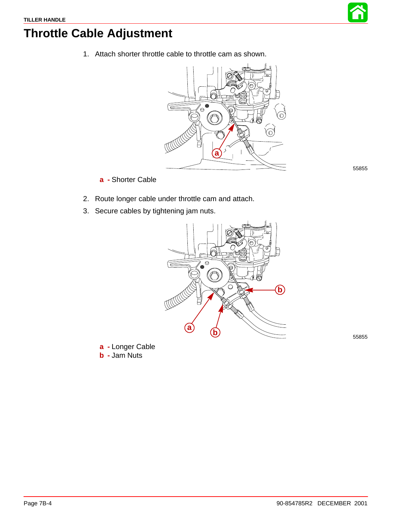

55855

# <span id="page-3-0"></span>**Throttle Cable Adjustment**

1. Attach shorter throttle cable to throttle cam as shown.



**a -** Shorter Cable

- 2. Route longer cable under throttle cam and attach.
- 3. Secure cables by tightening jam nuts.



**a -** Longer Cable

**b -** Jam Nuts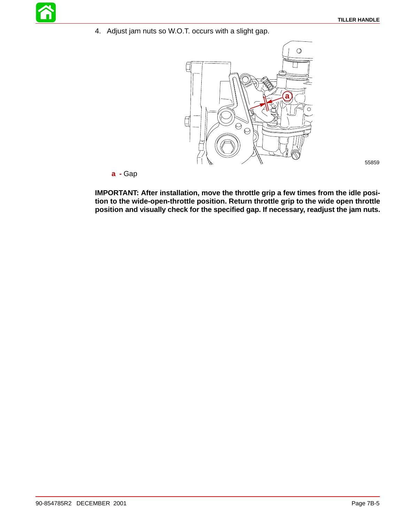55859

4. Adjust jam nuts so W.O.T. occurs with a slight gap.



**a -** Gap

**IMPORTANT: After installation, move the throttle grip a few times from the idle position to the wide-open-throttle position. Return throttle grip to the wide open throttle position and visually check for the specified gap. If necessary, readjust the jam nuts.**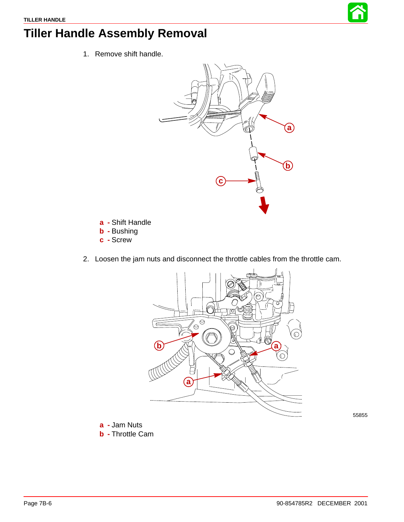

# **Tiller Handle Assembly Removal**

1. Remove shift handle.



- **a -** Shift Handle
- **b -** Bushing
- **c -** Screw
- 2. Loosen the jam nuts and disconnect the throttle cables from the throttle cam.



55855

- **a -** Jam Nuts
- **b -** Throttle Cam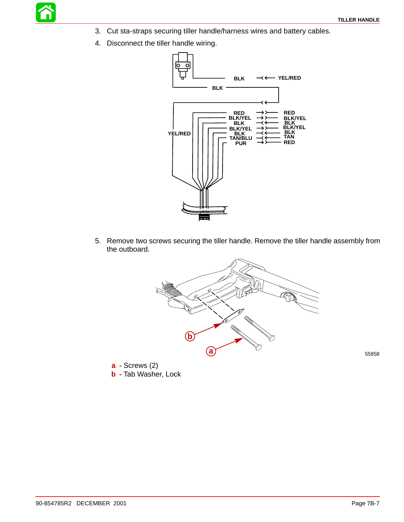- 3. Cut sta-straps securing tiller handle/harness wires and battery cables.
- 4. Disconnect the tiller handle wiring.



5. Remove two screws securing the tiller handle. Remove the tiller handle assembly from the outboard.



**a -** Screws (2) **b -** Tab Washer, Lock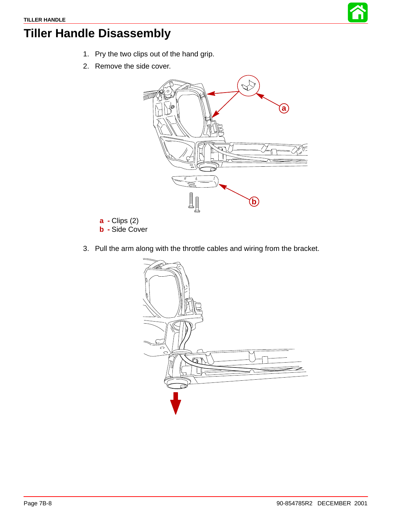

# **Tiller Handle Disassembly**

- 1. Pry the two clips out of the hand grip.
- 2. Remove the side cover.



- **a -** Clips (2)
- **b -** Side Cover
- 3. Pull the arm along with the throttle cables and wiring from the bracket.

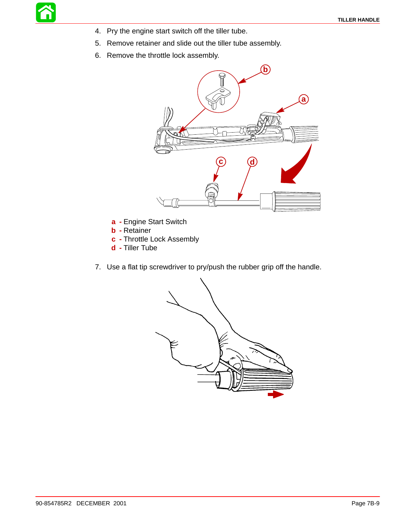- 4. Pry the engine start switch off the tiller tube.
- 5. Remove retainer and slide out the tiller tube assembly.
- 6. Remove the throttle lock assembly.



- **a -** Engine Start Switch
- **b -** Retainer
- **c -** Throttle Lock Assembly
- **d -** Tiller Tube
- 7. Use a flat tip screwdriver to pry/push the rubber grip off the handle.

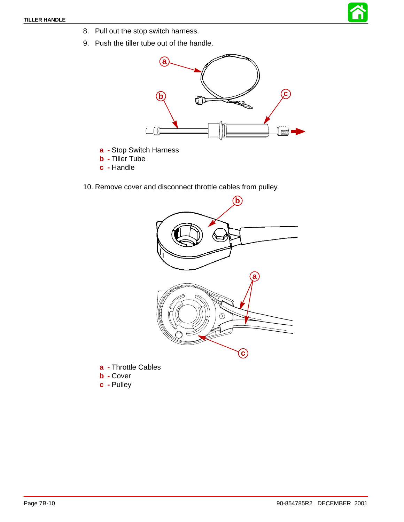- 8. Pull out the stop switch harness.
- 9. Push the tiller tube out of the handle.



- **a -** Stop Switch Harness
- **b -** Tiller Tube
- **c -** Handle
- 10. Remove cover and disconnect throttle cables from pulley.



- **a -** Throttle Cables
- **b -** Cover
- **c -** Pulley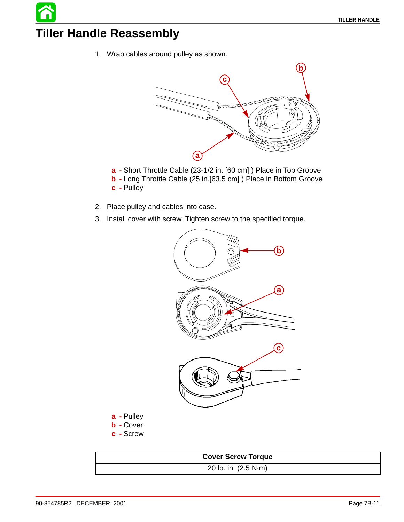#### **Tiller Handle Reassembly**

1. Wrap cables around pulley as shown.



- **a -** Short Throttle Cable (23-1/2 in. [60 cm] ) Place in Top Groove
- **b -** Long Throttle Cable (25 in.[63.5 cm] ) Place in Bottom Groove **c -** Pulley
- 2. Place pulley and cables into case.
- 3. Install cover with screw. Tighten screw to the specified torque.



- **a -** Pulley
- **b -** Cover
- **c -** Screw

```
Cover Screw Torque
20 lb. in. (2.5 N·m)
```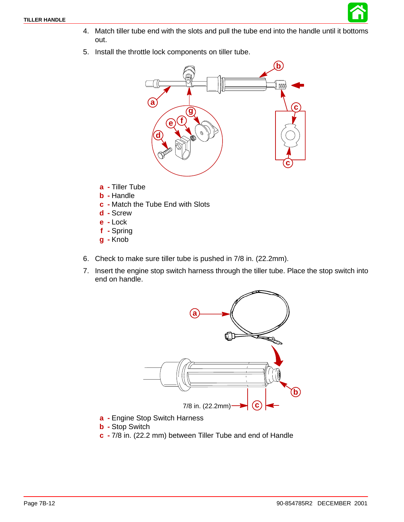

- 4. Match tiller tube end with the slots and pull the tube end into the handle until it bottoms out.
- 5. Install the throttle lock components on tiller tube.



- **a -** Tiller Tube
- **b -** Handle
- **c -** Match the Tube End with Slots
- **d -** Screw
- **e -** Lock
- **f -** Spring
- **g -** Knob
- 6. Check to make sure tiller tube is pushed in 7/8 in. (22.2mm).
- 7. Insert the engine stop switch harness through the tiller tube. Place the stop switch into end on handle.



- **a -** Engine Stop Switch Harness
- **b -** Stop Switch
- **c -** 7/8 in. (22.2 mm) between Tiller Tube and end of Handle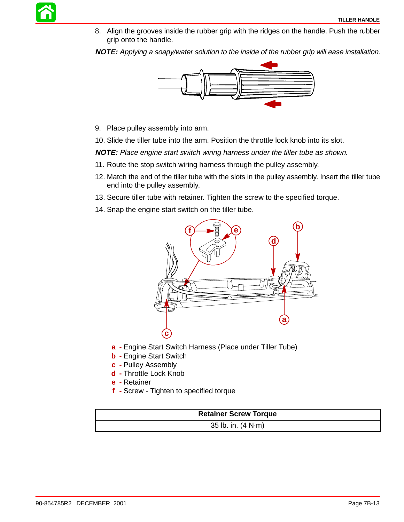8. Align the grooves inside the rubber grip with the ridges on the handle. Push the rubber grip onto the handle.

**NOTE:** Applying a soapy/water solution to the inside of the rubber grip will ease installation.



9. Place pulley assembly into arm.

10. Slide the tiller tube into the arm. Position the throttle lock knob into its slot.

**NOTE:** Place engine start switch wiring harness under the tiller tube as shown.

- 11. Route the stop switch wiring harness through the pulley assembly.
- 12. Match the end of the tiller tube with the slots in the pulley assembly. Insert the tiller tube end into the pulley assembly.
- 13. Secure tiller tube with retainer. Tighten the screw to the specified torque.
- 14. Snap the engine start switch on the tiller tube.



- **a -** Engine Start Switch Harness (Place under Tiller Tube)
- **b -** Engine Start Switch
- **c -** Pulley Assembly
- **d -** Throttle Lock Knob
- **e -** Retainer
- **f -** Screw Tighten to specified torque

| <b>Retainer Screw Torque</b> |  |
|------------------------------|--|
| 35 lb. in. $(4 N·m)$         |  |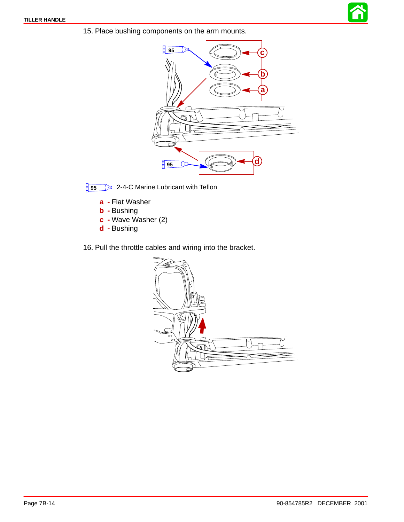

15. Place bushing components on the arm mounts.



**95**  $\circled{2}$  2-4-C Marine Lubricant with Teflon

- **a -** Flat Washer
- **b -** Bushing
- **c -** Wave Washer (2)
- **d -** Bushing
- 16. Pull the throttle cables and wiring into the bracket.

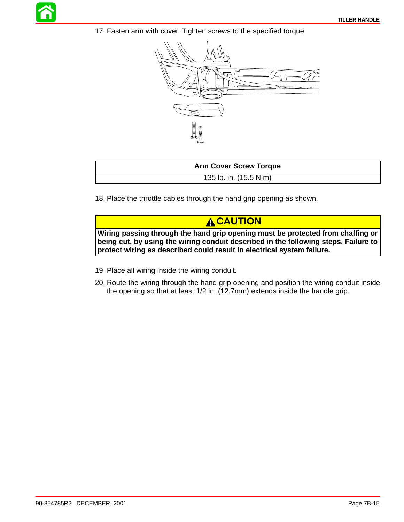17. Fasten arm with cover. Tighten screws to the specified torque.



| <b>Arm Cover Screw Torque</b> |  |
|-------------------------------|--|
| 135 lb. in. (15.5 N·m)        |  |

18. Place the throttle cables through the hand grip opening as shown.

#### **A CAUTION**

**Wiring passing through the hand grip opening must be protected from chaffing or being cut, by using the wiring conduit described in the following steps. Failure to protect wiring as described could result in electrical system failure.**

- 19. Place all wiring inside the wiring conduit.
- 20. Route the wiring through the hand grip opening and position the wiring conduit inside the opening so that at least 1/2 in. (12.7mm) extends inside the handle grip.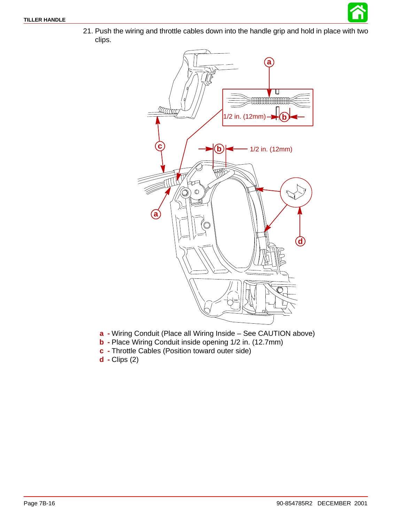

21. Push the wiring and throttle cables down into the handle grip and hold in place with two clips.



- **a -** Wiring Conduit (Place all Wiring Inside See CAUTION above)
- **b -** Place Wiring Conduit inside opening 1/2 in. (12.7mm)
- **c -** Throttle Cables (Position toward outer side)
- **d -** Clips (2)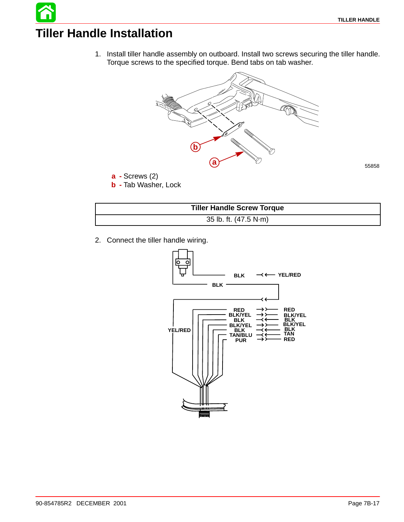# **Tiller Handle Installation**

1. Install tiller handle assembly on outboard. Install two screws securing the tiller handle. Torque screws to the specified torque. Bend tabs on tab washer.



| <b>Tiller Handle Screw Torque</b> |
|-----------------------------------|
| 35 lb. ft. (47.5 N·m)             |

2. Connect the tiller handle wiring.

**b -** Tab Washer, Lock

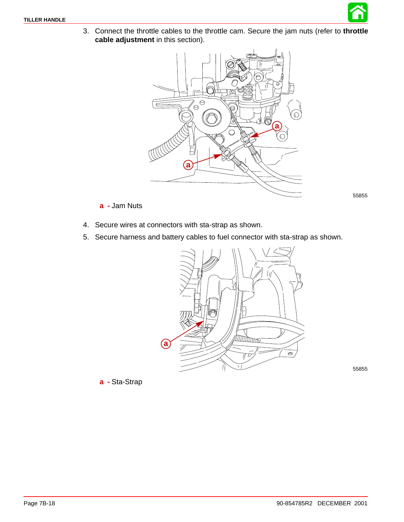

3. Connect the throttle cables to the throttle cam. Secure the jam nuts (refer to **throttle cable adjustment** in this section).



55855

#### **a -** Jam Nuts

- 4. Secure wires at connectors with sta-strap as shown.
- 5. Secure harness and battery cables to fuel connector with sta-strap as shown.



55855

**a -** Sta-Strap